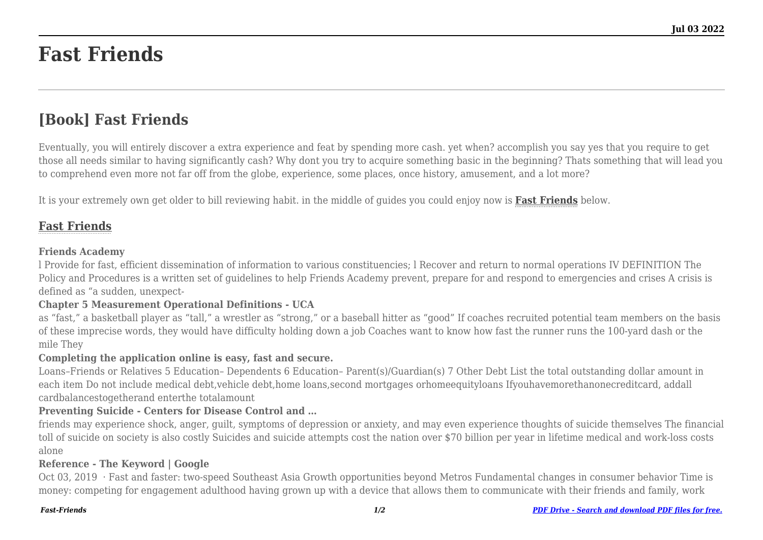# **Fast Friends**

## **[Book] Fast Friends**

Eventually, you will entirely discover a extra experience and feat by spending more cash. yet when? accomplish you say yes that you require to get those all needs similar to having significantly cash? Why dont you try to acquire something basic in the beginning? Thats something that will lead you to comprehend even more not far off from the globe, experience, some places, once history, amusement, and a lot more?

It is your extremely own get older to bill reviewing habit. in the middle of guides you could enjoy now is **[Fast Friends](http://jessicaberan.com)** below.

### **[Fast Friends](http://jessicaberan.com/Fast-Friends.pdf)**

### **Friends Academy**

l Provide for fast, efficient dissemination of information to various constituencies; l Recover and return to normal operations IV DEFINITION The Policy and Procedures is a written set of guidelines to help Friends Academy prevent, prepare for and respond to emergencies and crises A crisis is defined as "a sudden, unexpect-

### **Chapter 5 Measurement Operational Definitions - UCA**

as "fast," a basketball player as "tall," a wrestler as "strong," or a baseball hitter as "good" If coaches recruited potential team members on the basis of these imprecise words, they would have difficulty holding down a job Coaches want to know how fast the runner runs the 100-yard dash or the mile They

### **Completing the application online is easy, fast and secure.**

Loans–Friends or Relatives 5 Education– Dependents 6 Education– Parent(s)/Guardian(s) 7 Other Debt List the total outstanding dollar amount in each item Do not include medical debt,vehicle debt,home loans,second mortgages orhomeequityloans Ifyouhavemorethanonecreditcard, addall cardbalancestogetherand enterthe totalamount

### **Preventing Suicide - Centers for Disease Control and …**

friends may experience shock, anger, guilt, symptoms of depression or anxiety, and may even experience thoughts of suicide themselves The financial toll of suicide on society is also costly Suicides and suicide attempts cost the nation over \$70 billion per year in lifetime medical and work-loss costs alone

### **Reference - The Keyword | Google**

Oct 03, 2019 · Fast and faster: two-speed Southeast Asia Growth opportunities beyond Metros Fundamental changes in consumer behavior Time is money: competing for engagement adulthood having grown up with a device that allows them to communicate with their friends and family, work